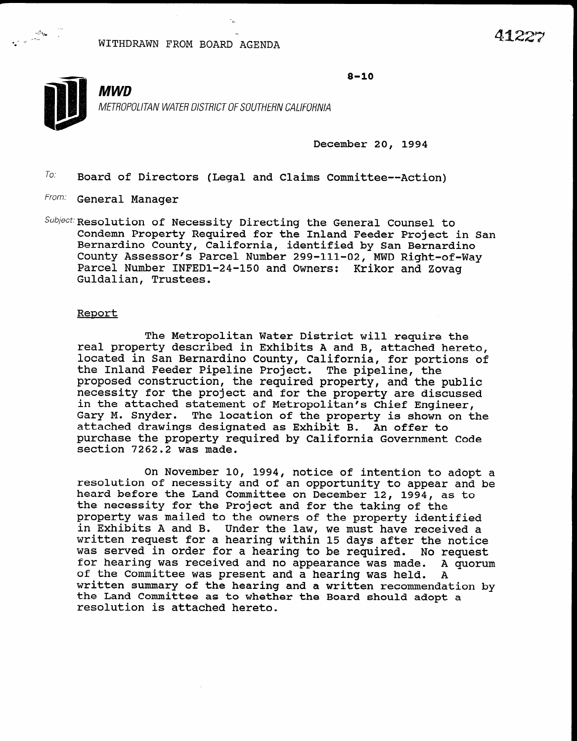WITHDRAWN FROM BOARD AGENDA



-.

- \_

 $8 - 10$ 

METROPOLITAN WATER DISTRICT OF SOUTHERN CALIFORNIA

.h

December 20, 1994

 $T_{0}$ . Board of Directors (Legal and Claims Committee--Action)

From: General Manager

-"A:%,e x.

 $Subject:$  Resolution of Necessity Directing the General Counsel to Condemn Property Required for the Inland Feeder Project in San Bernardino County, California, identified by San Bernardino County Assessor's Parcel Number 299-111-02, MWD Right-of-Way Parcel Number INFEDl-24-150 and Owners: Krikor and Zovag Guldalian, Trustees.

## Report

The Metropolitan Water District will require the real property described in Exhibits A and B, attached hereto, located in San Bernardino County, California, for portions of the Inland Feeder Pipeline Project. The pipeline, the proposed construction, the required proposation and the public proposed construction, the required property, and the public necessity for the project and for the property are discussed in the attached statement of Metropolitan's Chief Engineer, Gary M. Snyder. The location of the property is shown on the attached drawings designated as Exhibit B. An offer to purchase the property required by California Government Code section 7262.2 was made.

 $\overline{a}$   $\overline{a}$   $\overline{a}$   $\overline{a}$   $\overline{a}$   $\overline{a}$   $\overline{a}$   $\overline{a}$   $\overline{a}$   $\overline{a}$   $\overline{a}$   $\overline{a}$   $\overline{a}$   $\overline{a}$   $\overline{a}$   $\overline{a}$   $\overline{a}$   $\overline{a}$   $\overline{a}$   $\overline{a}$   $\overline{a}$   $\overline{a}$   $\overline{a}$   $\overline{a}$   $\overline{$ on November 10, 1994, notice of intention to adopt a resolution of necessity and of an opportunity to appear and be heard before the Land Committee on December 12, 1994, as to the necessity for the Project and for the taking of the property was mailed to the owners of the property identified in Exhibits A and B. Under the law, we must have received a written request for a hearing within 15 days after the notice was served in order for a hearing to be required. No request for hearing was received and no appearance was made. A quorum of the Committee was present and a hearing was held. A written summary of the hearing and a written recommendation by the Land Committee as to whether the Board should adopt a resolution is attached hereto.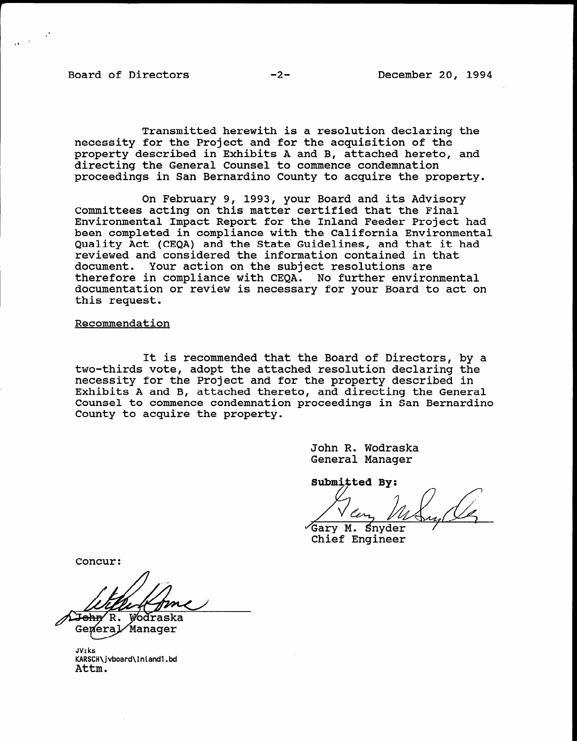Transmitted herewith is a resolution declaring the necessity for the Project and for the acquisition of the property described in Exhibits A and B, attached hereto, and directing the General Counsel to commence condemnation proceedings in San Bernardino County to acquire the property.

On February 9, 1993, your Board and its Advisory Committees acting on this matter certified that the Final Environmental Impact Report for the Inland Feeder Project had been completed in compliance with the California Environmental Quality Act (CEQA) and the State Guidelines, and that it had reviewed and considered the information contained in that document. Your action on the subject resolutions are therefore in compliance with CEQA. No further environmental documentation or review is necessary for your Board to act on this request.

## Recommendation

It is recommended that the Board of Directors, by a two-thirds vote, adopt the attached resolution declaring the necessity for the Project and for the property described in Exhibits A and B, attached thereto, and directing the General Exhibits A and B, attached thereto, and directing the General<br>Counsel to commence condemnation proceedings in San Bernardino County to acquire the property.

> John R. Wodraska Jonn R. Woorask

Submitted By:

Gary M. Snyder<br>Chief Engineer

Concur:

A<del>John</del>⁄ R. Wodraska

General Manager JV:ks

JV:ks KARSCH\jvboard\Inland1.bd Attm.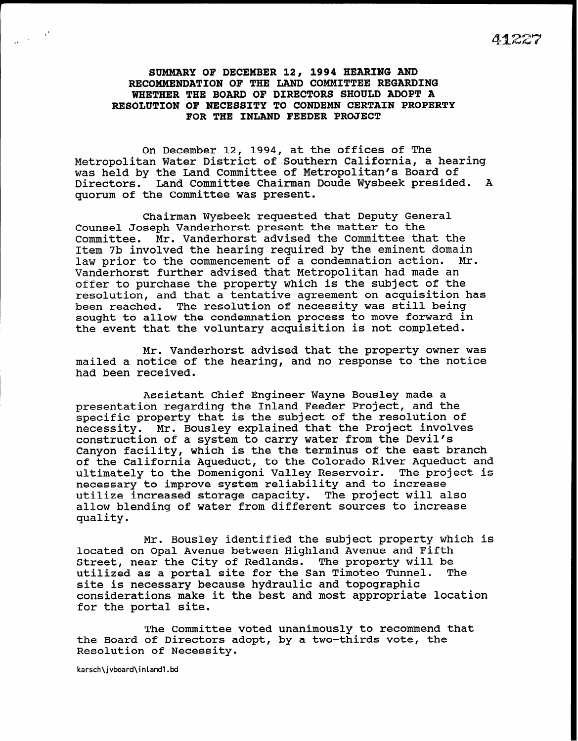SUMMARY OF DECEMBER 12, 1994 HEARING AND RECOMMENDATION OF THE LAND COMMITTEE REGARDING WHETHER THE BOARD OF DIRECTORS SHOULD ADOPT A RESOLUTION OF NECESSITY TO CONDEMN CERTAIN PROPERTY FOR THE INLAND FEEDER PROJECT

On December 12, 1994, at the offices of The Metropolitan Water District of Southern California, a hearing was held by the Land Committee of Metropolitan's Board of Directors. Land Committee Chairman Doude Wysbeek presided. A quorum of the Committee was present.

Chairman Wysbeek requested that Deputy General Counsel Joseph Vanderhorst present the matter to the Committee. Mr. Vanderhorst advised the Committee that the Item 7b involved the hearing required by the eminent domain<br>law prior to the commencement of a condemnation action. Mr. law prior to the commencement of a condemnation action. Vanderhorst further advised that Metropolitan had made an offer to purchase the property which is the subject of the resolution, and that a tentative agreement on acquisition has been reached. The resolution of necessity was still being sought to allow the condemnation process to move forward in the event that the voluntary acquisition is not completed.

Mr. Vanderhorst advised that the property owner was mailed a notice of the hearing, and no response to the notice had been received.

Assistant Chief Engineer Wayne Bousley made a presentation regarding the Inland Feeder Project, and the specific property that is the subject of the resolution of necessity. Mr. Bousley explained that the Project involves construction of a system to carry water from the Devil's Canyon facility, which is the the terminus of the east branch of the California Aqueduct, to the Colorado River Aqueduct and ultimately to the Domenigoni Valley Reservoir. The project is necessary to improve system reliability and to increase utilize increased storage capacity. The project will also allow blending of water from different sources to increase quality.

Mr. Bousley identified the subject property which is located on Opal Avenue between Highland Avenue and Fifth Street, near the City of Redlands. The property will be utilized as a portal site for the San Timoteo Tunnel. The site is necessary because hydraulic and topographic considerations make it the best and most appropriate location for the portal site.

The Committee voted unanimously to recommend that the Board of Directors adopt, by a two-thirds vote, the Resolution of Necessity.

karsch\jvboard\inlandl .bd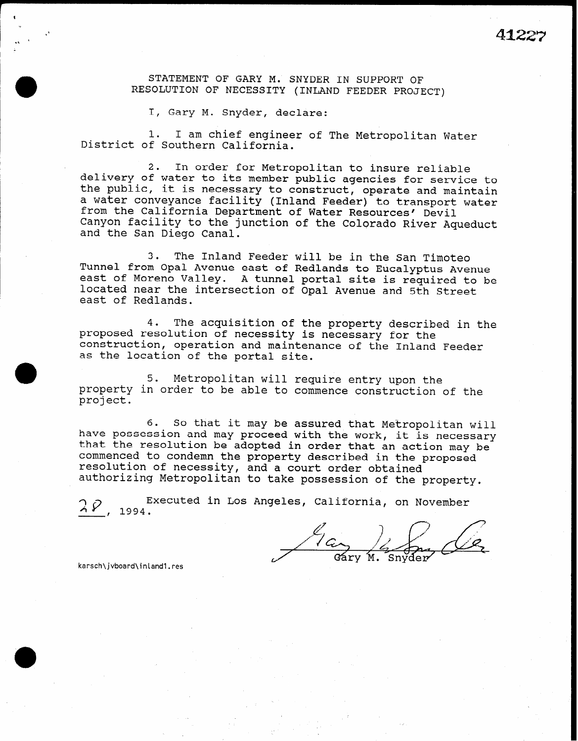STATEMENT OF GARY M. SNYDER IN SUPPORT OF RESOLUTION OF NECESSITY (INLAND FEEDER PROJECT)

I, Gary M. Snyder, declare:

1. I am chief engineer of The Metropolitan Water District of Southern California.

2. In order for Metropolitan to insure reliable delivery of water to its member public agencies for service to the public, it is necessary to construct, operate and maintain a water conveyance facility (Inland Feeder) to transport water from the California Department of Water Resources' Devil Canyon facility to the junction of the Colorado River Aqueduct and the San Diego Canal.

3. The Inland Feeder will be in the San Timoteo Tunnel from Opal Avenue east of Redlands to Eucalyptus Avenue east of Moreno Valley. A tunnel portal site is required to be located near the intersection of Opal Avenue and 5th Street east of Redlands.

4. The acquisition of the property described in the proposed resolution of necessity is necessary for the construction, operation and maintenance of the Inland Feeder as the location of the portal site.

5. Metropolitan will require entry upon the property in order to be able to commence construction of the project.

6. So that it may be assured that Metropolitan will have possession and may proceed with the work, it is necessary that the resolution be adopted in order that an action may be commenced to condemn the property described in the proposed resolution of necessity, and a court order obtained authorizing Metropolitan to take possession of the property.

 $24$ , 1994. Executed in Los Angeles, California, on November

Gáry M. Snyder

karsch\jvboard\inlandl.res

a

m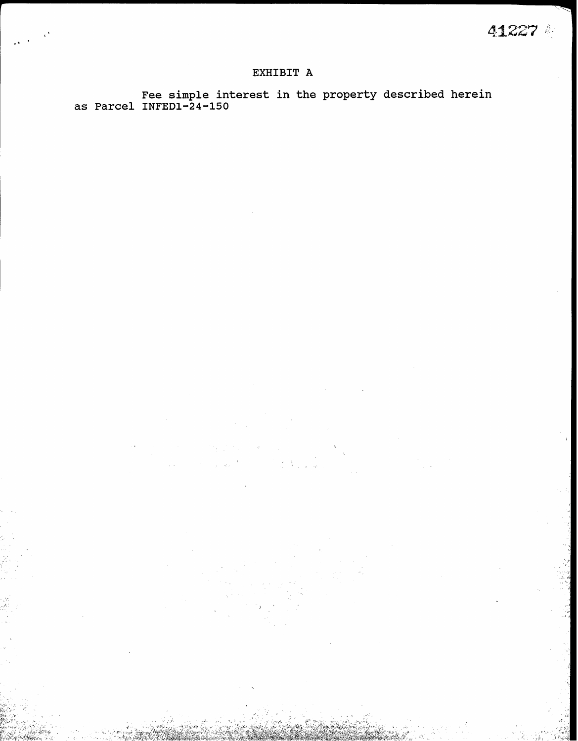## EXHIBIT A

Fee simple interest in the property described herei as Parcel INFED1-24-1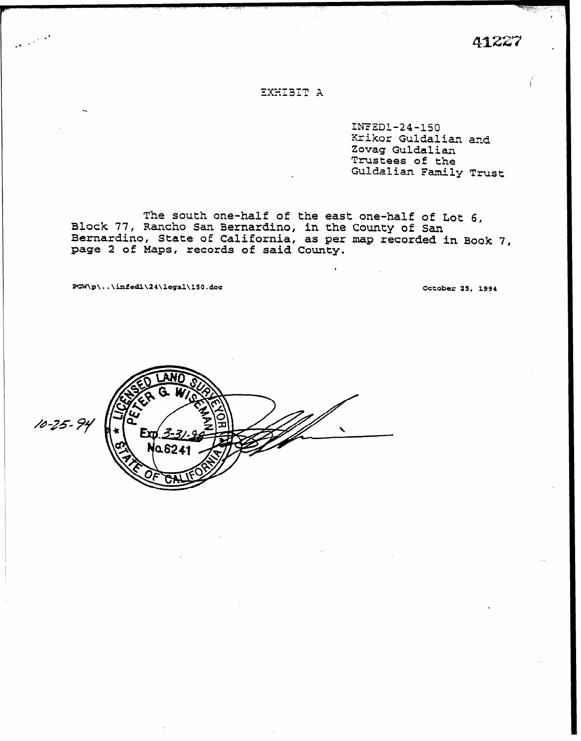41227

## EXHIBIT A

INFED1-24-150 Krikor Guldalian and Zovag Guldalian Trustees of the Guldalian Family Trust

The south one-half of the east one-half of Lot 6, Block 77, Rancho San Bernardino, in the County of San Bernardino, State of California, as per map recorded in Book 7, page 2 of Maps, records of said County.

PGW\p\..\infed1\24\legal\150.doc

Cctober 25, 1994